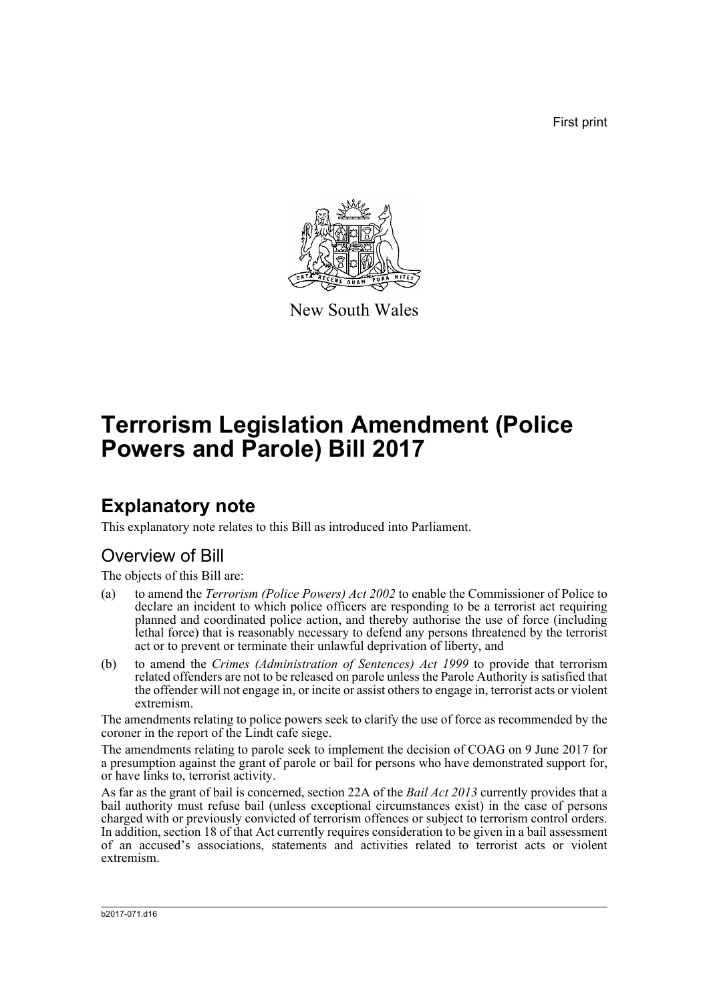First print



New South Wales

# **Terrorism Legislation Amendment (Police Powers and Parole) Bill 2017**

## **Explanatory note**

This explanatory note relates to this Bill as introduced into Parliament.

### Overview of Bill

The objects of this Bill are:

- (a) to amend the *Terrorism (Police Powers) Act 2002* to enable the Commissioner of Police to declare an incident to which police officers are responding to be a terrorist act requiring planned and coordinated police action, and thereby authorise the use of force (including lethal force) that is reasonably necessary to defend any persons threatened by the terrorist act or to prevent or terminate their unlawful deprivation of liberty, and
- (b) to amend the *Crimes (Administration of Sentences) Act 1999* to provide that terrorism related offenders are not to be released on parole unless the Parole Authority is satisfied that the offender will not engage in, or incite or assist others to engage in, terrorist acts or violent extremism.

The amendments relating to police powers seek to clarify the use of force as recommended by the coroner in the report of the Lindt cafe siege.

The amendments relating to parole seek to implement the decision of COAG on 9 June 2017 for a presumption against the grant of parole or bail for persons who have demonstrated support for, or have links to, terrorist activity.

As far as the grant of bail is concerned, section 22A of the *Bail Act 2013* currently provides that a bail authority must refuse bail (unless exceptional circumstances exist) in the case of persons charged with or previously convicted of terrorism offences or subject to terrorism control orders. In addition, section 18 of that Act currently requires consideration to be given in a bail assessment of an accused's associations, statements and activities related to terrorist acts or violent extremism.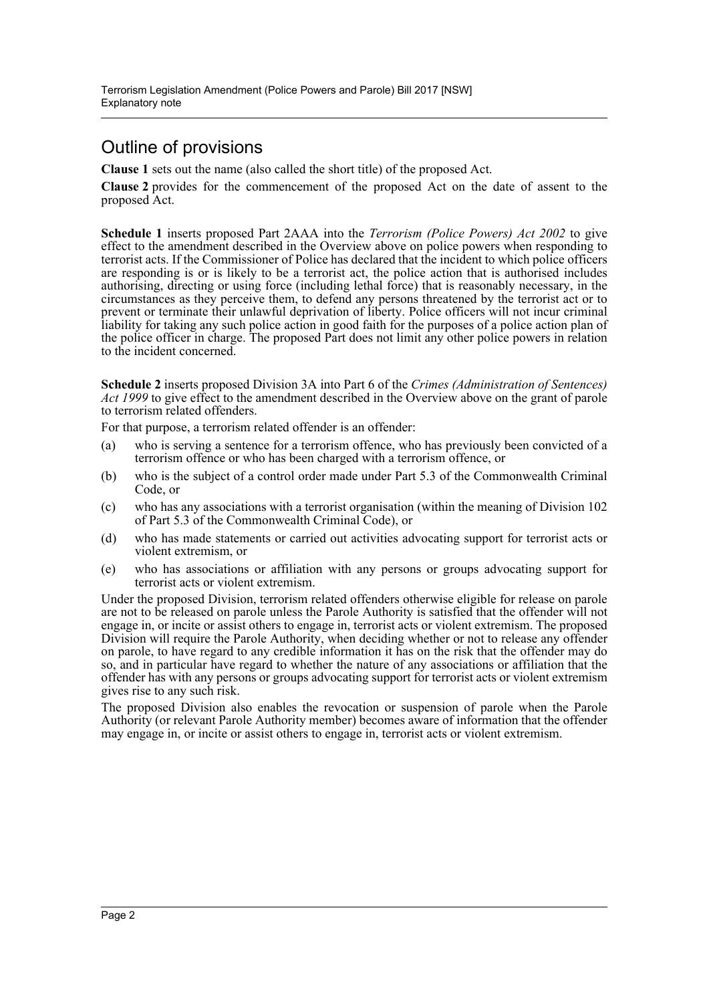## Outline of provisions

**Clause 1** sets out the name (also called the short title) of the proposed Act.

**Clause 2** provides for the commencement of the proposed Act on the date of assent to the proposed Act.

**Schedule 1** inserts proposed Part 2AAA into the *Terrorism (Police Powers) Act 2002* to give effect to the amendment described in the Overview above on police powers when responding to terrorist acts. If the Commissioner of Police has declared that the incident to which police officers are responding is or is likely to be a terrorist act, the police action that is authorised includes authorising, directing or using force (including lethal force) that is reasonably necessary, in the circumstances as they perceive them, to defend any persons threatened by the terrorist act or to prevent or terminate their unlawful deprivation of liberty. Police officers will not incur criminal liability for taking any such police action in good faith for the purposes of a police action plan of the police officer in charge. The proposed Part does not limit any other police powers in relation to the incident concerned.

**Schedule 2** inserts proposed Division 3A into Part 6 of the *Crimes (Administration of Sentences) Act 1999* to give effect to the amendment described in the Overview above on the grant of parole to terrorism related offenders.

For that purpose, a terrorism related offender is an offender:

- (a) who is serving a sentence for a terrorism offence, who has previously been convicted of a terrorism offence or who has been charged with a terrorism offence, or
- (b) who is the subject of a control order made under Part 5.3 of the Commonwealth Criminal Code, or
- (c) who has any associations with a terrorist organisation (within the meaning of Division 102 of Part 5.3 of the Commonwealth Criminal Code), or
- (d) who has made statements or carried out activities advocating support for terrorist acts or violent extremism, or
- (e) who has associations or affiliation with any persons or groups advocating support for terrorist acts or violent extremism.

Under the proposed Division, terrorism related offenders otherwise eligible for release on parole are not to be released on parole unless the Parole Authority is satisfied that the offender will not engage in, or incite or assist others to engage in, terrorist acts or violent extremism. The proposed Division will require the Parole Authority, when deciding whether or not to release any offender on parole, to have regard to any credible information it has on the risk that the offender may do so, and in particular have regard to whether the nature of any associations or affiliation that the offender has with any persons or groups advocating support for terrorist acts or violent extremism gives rise to any such risk.

The proposed Division also enables the revocation or suspension of parole when the Parole Authority (or relevant Parole Authority member) becomes aware of information that the offender may engage in, or incite or assist others to engage in, terrorist acts or violent extremism.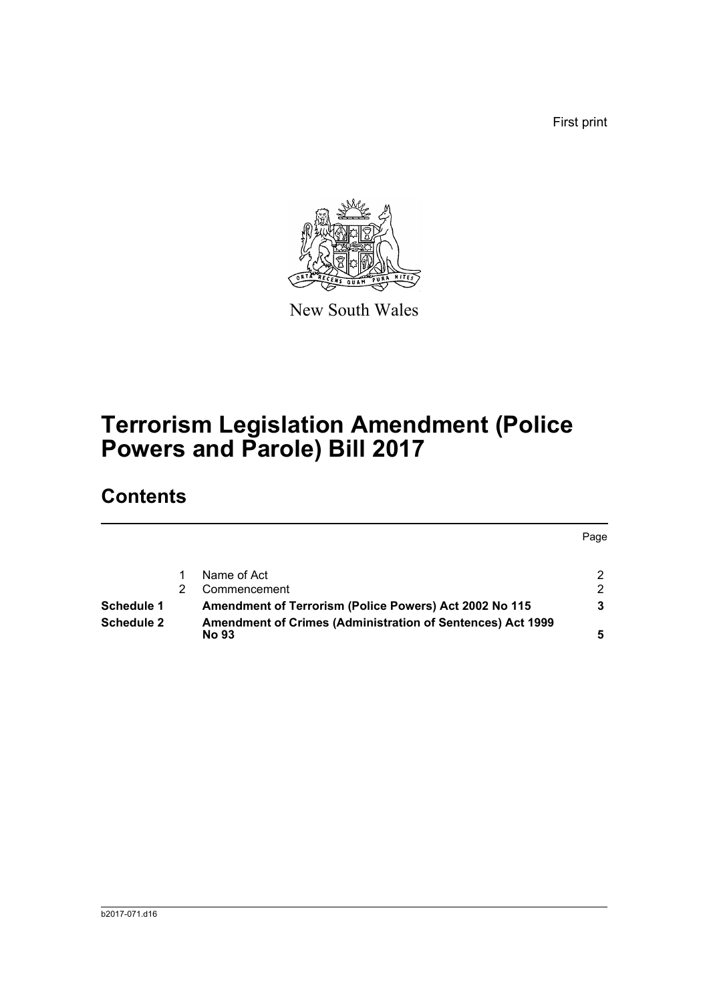First print



New South Wales

# **Terrorism Legislation Amendment (Police Powers and Parole) Bill 2017**

## **Contents**

|                   |  |                                                                                   | Page |
|-------------------|--|-----------------------------------------------------------------------------------|------|
|                   |  | Name of Act                                                                       | 2    |
|                   |  | Commencement                                                                      | 2    |
| Schedule 1        |  | Amendment of Terrorism (Police Powers) Act 2002 No 115                            | 3    |
| <b>Schedule 2</b> |  | <b>Amendment of Crimes (Administration of Sentences) Act 1999</b><br><b>No 93</b> |      |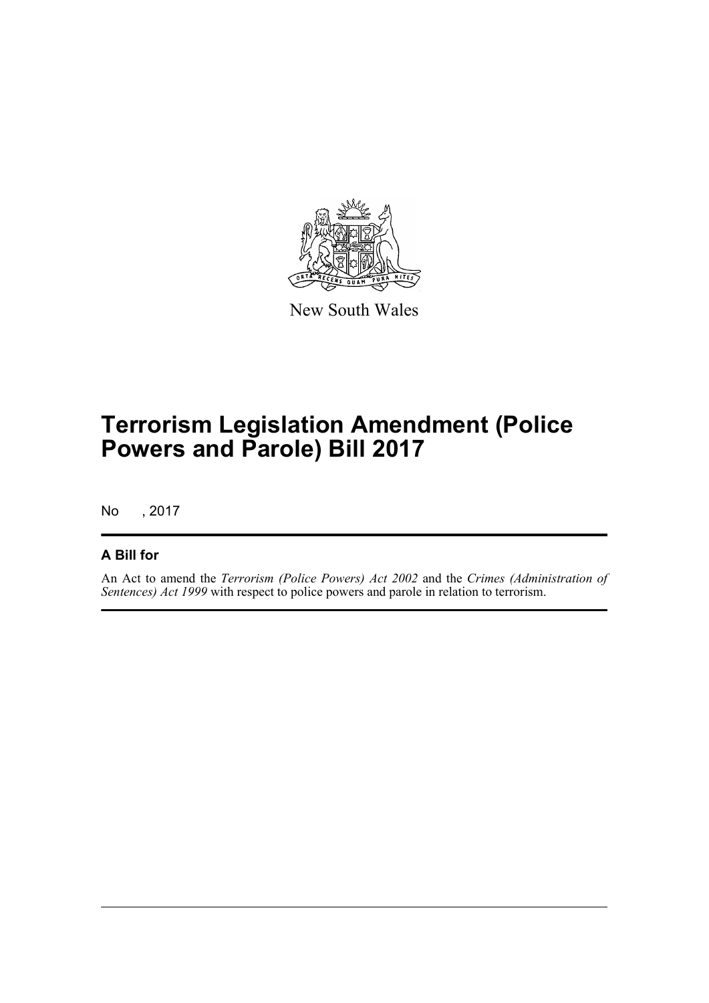

New South Wales

# **Terrorism Legislation Amendment (Police Powers and Parole) Bill 2017**

No , 2017

### **A Bill for**

An Act to amend the *Terrorism (Police Powers) Act 2002* and the *Crimes (Administration of Sentences) Act 1999* with respect to police powers and parole in relation to terrorism.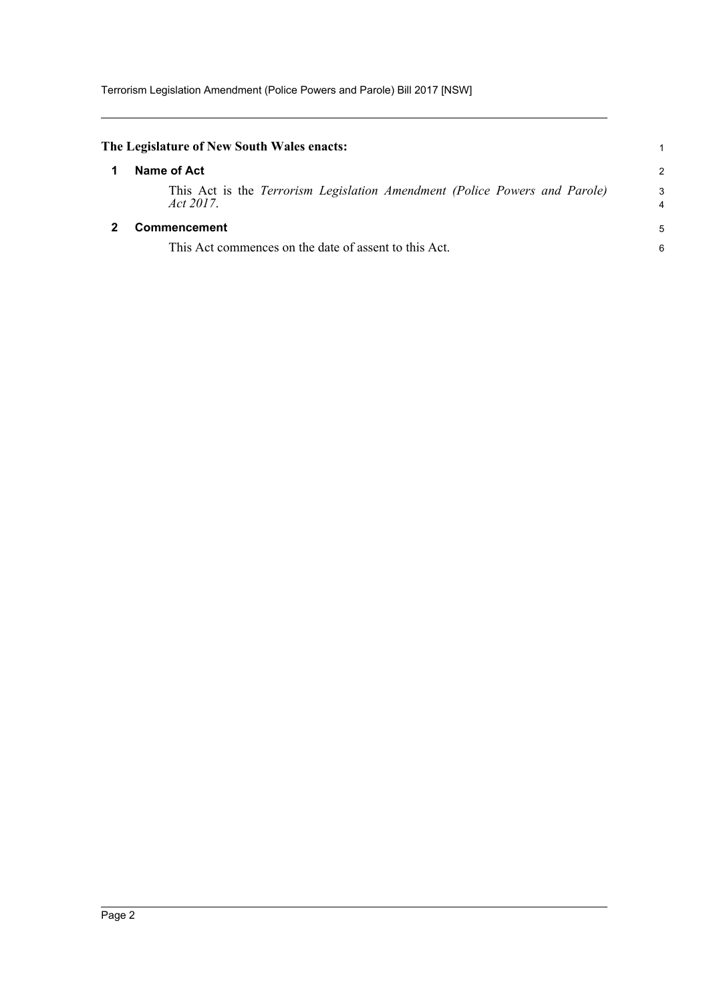<span id="page-4-1"></span><span id="page-4-0"></span>

| The Legislature of New South Wales enacts:                                                 |               |
|--------------------------------------------------------------------------------------------|---------------|
| Name of Act                                                                                | $\mathcal{P}$ |
| This Act is the Terrorism Legislation Amendment (Police Powers and Parole)<br>Act $2017$ . | 3             |
| <b>Commencement</b>                                                                        | 5             |
| This Act commences on the date of assent to this Act.                                      | 6             |
|                                                                                            |               |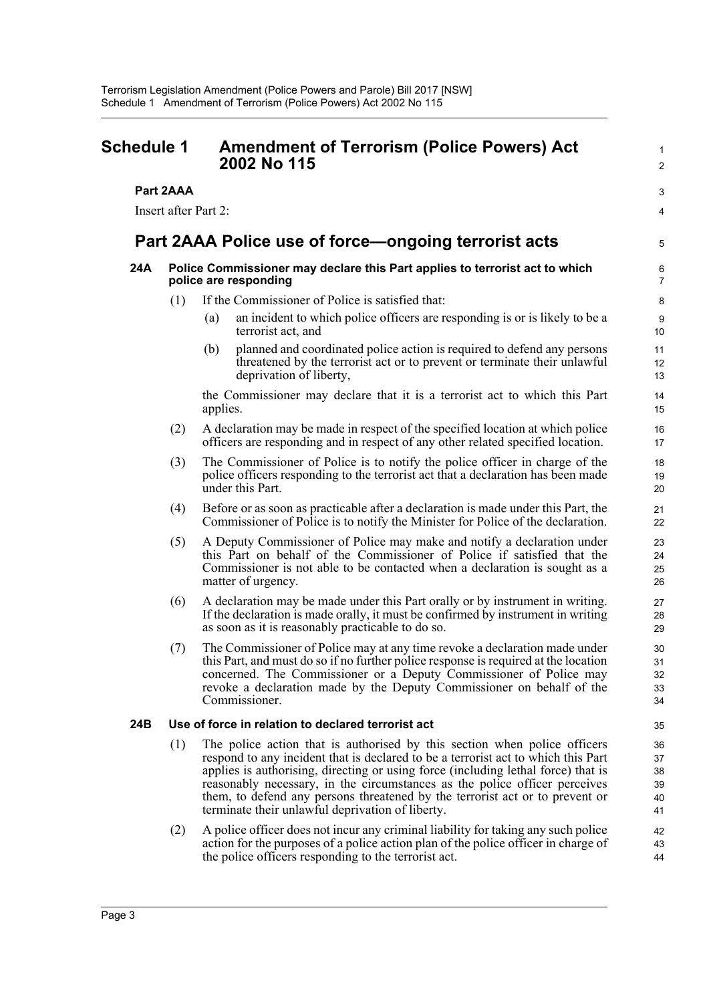### <span id="page-5-0"></span>**Schedule 1 Amendment of Terrorism (Police Powers) Act 2002 No 115**

#### **Part 2AAA**

Insert after Part 2:

### **Part 2AAA Police use of force—ongoing terrorist acts**

#### **24A Police Commissioner may declare this Part applies to terrorist act to which police are responding**

- (1) If the Commissioner of Police is satisfied that:
	- (a) an incident to which police officers are responding is or is likely to be a terrorist act, and

1  $\overline{2}$ 

3 4

5

(b) planned and coordinated police action is required to defend any persons threatened by the terrorist act or to prevent or terminate their unlawful deprivation of liberty,

the Commissioner may declare that it is a terrorist act to which this Part applies.

- (2) A declaration may be made in respect of the specified location at which police officers are responding and in respect of any other related specified location.
- (3) The Commissioner of Police is to notify the police officer in charge of the police officers responding to the terrorist act that a declaration has been made under this Part.
- (4) Before or as soon as practicable after a declaration is made under this Part, the Commissioner of Police is to notify the Minister for Police of the declaration.
- (5) A Deputy Commissioner of Police may make and notify a declaration under this Part on behalf of the Commissioner of Police if satisfied that the Commissioner is not able to be contacted when a declaration is sought as a matter of urgency.
- (6) A declaration may be made under this Part orally or by instrument in writing. If the declaration is made orally, it must be confirmed by instrument in writing as soon as it is reasonably practicable to do so.
- (7) The Commissioner of Police may at any time revoke a declaration made under this Part, and must do so if no further police response is required at the location concerned. The Commissioner or a Deputy Commissioner of Police may revoke a declaration made by the Deputy Commissioner on behalf of the Commissioner.

#### **24B Use of force in relation to declared terrorist act**

- (1) The police action that is authorised by this section when police officers respond to any incident that is declared to be a terrorist act to which this Part applies is authorising, directing or using force (including lethal force) that is reasonably necessary, in the circumstances as the police officer perceives them, to defend any persons threatened by the terrorist act or to prevent or terminate their unlawful deprivation of liberty.
- (2) A police officer does not incur any criminal liability for taking any such police action for the purposes of a police action plan of the police officer in charge of the police officers responding to the terrorist act.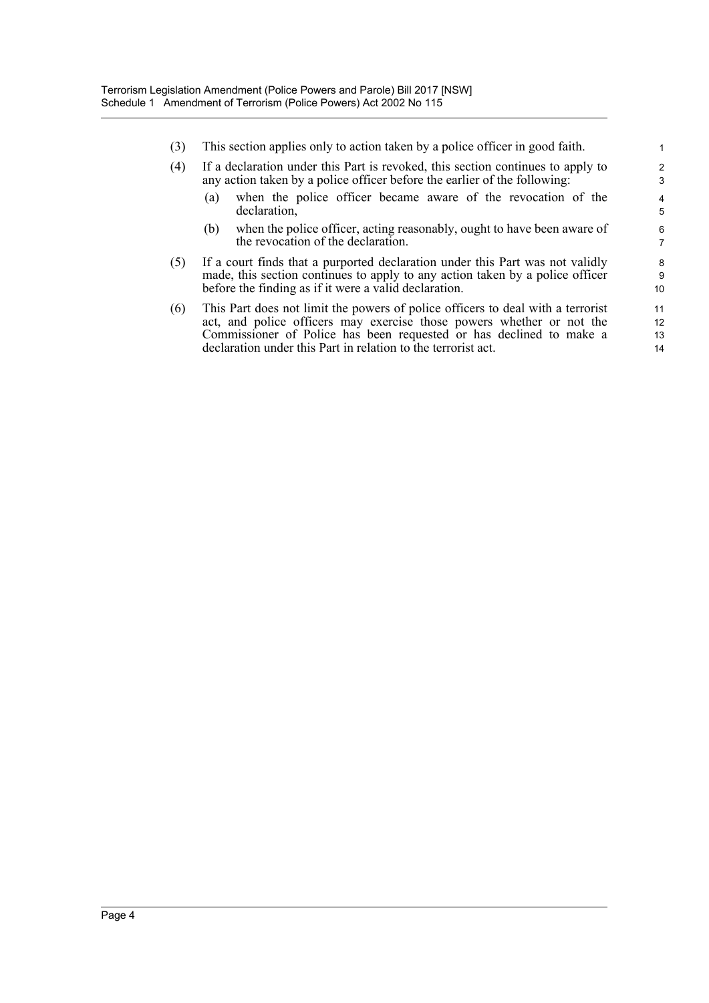- (3) This section applies only to action taken by a police officer in good faith.
- (4) If a declaration under this Part is revoked, this section continues to apply to any action taken by a police officer before the earlier of the following:
	- (a) when the police officer became aware of the revocation of the declaration,

- (b) when the police officer, acting reasonably, ought to have been aware of the revocation of the declaration.
- (5) If a court finds that a purported declaration under this Part was not validly made, this section continues to apply to any action taken by a police officer before the finding as if it were a valid declaration.
- (6) This Part does not limit the powers of police officers to deal with a terrorist act, and police officers may exercise those powers whether or not the Commissioner of Police has been requested or has declined to make a declaration under this Part in relation to the terrorist act.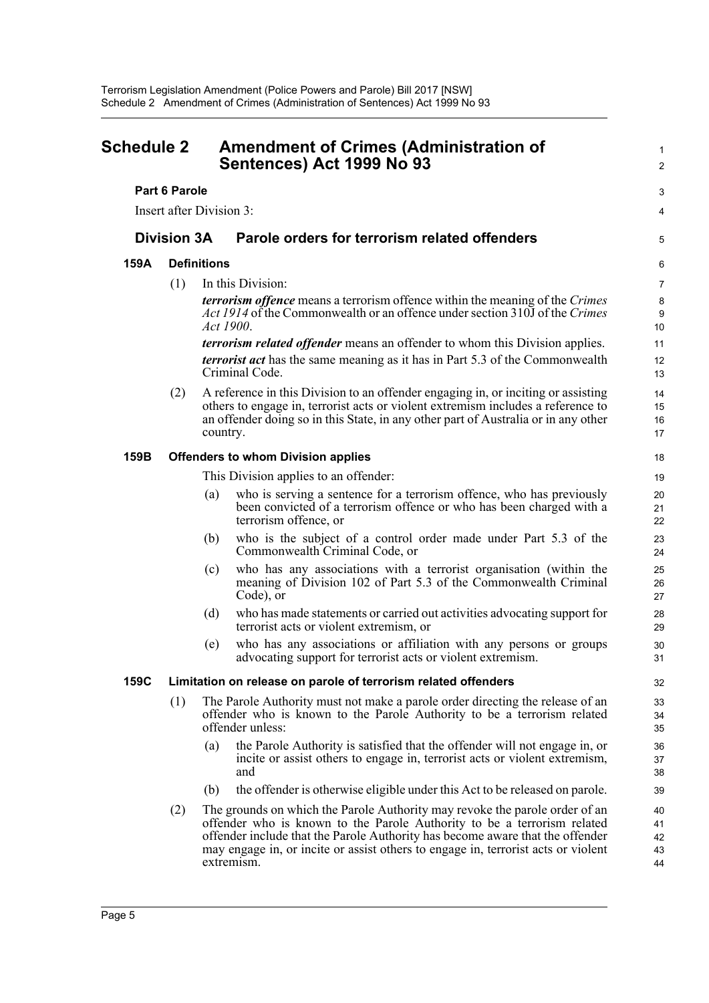<span id="page-7-0"></span>

| <b>Schedule 2</b>    |                                                                                                                                                                                                                                                             | <b>Amendment of Crimes (Administration of</b><br>Sentences) Act 1999 No 93                                                                                                                                                                                                                                                                 |                                                                                                                                                                        | 1<br>$\overline{c}$        |  |  |  |
|----------------------|-------------------------------------------------------------------------------------------------------------------------------------------------------------------------------------------------------------------------------------------------------------|--------------------------------------------------------------------------------------------------------------------------------------------------------------------------------------------------------------------------------------------------------------------------------------------------------------------------------------------|------------------------------------------------------------------------------------------------------------------------------------------------------------------------|----------------------------|--|--|--|
| <b>Part 6 Parole</b> |                                                                                                                                                                                                                                                             |                                                                                                                                                                                                                                                                                                                                            |                                                                                                                                                                        |                            |  |  |  |
|                      |                                                                                                                                                                                                                                                             | Insert after Division 3:                                                                                                                                                                                                                                                                                                                   |                                                                                                                                                                        | 4                          |  |  |  |
| <b>Division 3A</b>   |                                                                                                                                                                                                                                                             | Parole orders for terrorism related offenders                                                                                                                                                                                                                                                                                              |                                                                                                                                                                        | 5                          |  |  |  |
| 159A                 | <b>Definitions</b>                                                                                                                                                                                                                                          |                                                                                                                                                                                                                                                                                                                                            |                                                                                                                                                                        | 6                          |  |  |  |
|                      | (1)                                                                                                                                                                                                                                                         | In this Division:                                                                                                                                                                                                                                                                                                                          |                                                                                                                                                                        |                            |  |  |  |
|                      |                                                                                                                                                                                                                                                             | Act 1900.                                                                                                                                                                                                                                                                                                                                  | terrorism offence means a terrorism offence within the meaning of the Crimes<br><i>Act 1914</i> of the Commonwealth or an offence under section 310J of the Crimes     | 8<br>9<br>10               |  |  |  |
|                      |                                                                                                                                                                                                                                                             |                                                                                                                                                                                                                                                                                                                                            | <i>terrorism related offender</i> means an offender to whom this Division applies.                                                                                     | 11                         |  |  |  |
|                      |                                                                                                                                                                                                                                                             | Criminal Code.                                                                                                                                                                                                                                                                                                                             | <i>terrorist act</i> has the same meaning as it has in Part 5.3 of the Commonwealth                                                                                    | 12<br>13                   |  |  |  |
|                      | A reference in this Division to an offender engaging in, or inciting or assisting<br>others to engage in, terrorist acts or violent extremism includes a reference to<br>an offender doing so in this State, in any other part of Australia or in any other | 14<br>15<br>16<br>17                                                                                                                                                                                                                                                                                                                       |                                                                                                                                                                        |                            |  |  |  |
| 159B                 |                                                                                                                                                                                                                                                             | <b>Offenders to whom Division applies</b>                                                                                                                                                                                                                                                                                                  |                                                                                                                                                                        |                            |  |  |  |
|                      |                                                                                                                                                                                                                                                             |                                                                                                                                                                                                                                                                                                                                            | This Division applies to an offender:                                                                                                                                  | 19                         |  |  |  |
|                      |                                                                                                                                                                                                                                                             | (a)                                                                                                                                                                                                                                                                                                                                        | who is serving a sentence for a terrorism offence, who has previously<br>been convicted of a terrorism offence or who has been charged with a<br>terrorism offence, or | 20<br>21<br>22             |  |  |  |
|                      |                                                                                                                                                                                                                                                             | (b)                                                                                                                                                                                                                                                                                                                                        | who is the subject of a control order made under Part 5.3 of the<br>Commonwealth Criminal Code, or                                                                     | 23<br>24                   |  |  |  |
|                      |                                                                                                                                                                                                                                                             | (c)<br>Code), or                                                                                                                                                                                                                                                                                                                           | who has any associations with a terrorist organisation (within the<br>meaning of Division 102 of Part 5.3 of the Commonwealth Criminal                                 | 25<br>26<br>27             |  |  |  |
|                      |                                                                                                                                                                                                                                                             | (d)                                                                                                                                                                                                                                                                                                                                        | who has made statements or carried out activities advocating support for<br>terrorist acts or violent extremism, or                                                    | 28<br>29                   |  |  |  |
|                      |                                                                                                                                                                                                                                                             | (e)                                                                                                                                                                                                                                                                                                                                        | who has any associations or affiliation with any persons or groups<br>advocating support for terrorist acts or violent extremism.                                      | 30<br>31                   |  |  |  |
| 159C                 |                                                                                                                                                                                                                                                             | Limitation on release on parole of terrorism related offenders                                                                                                                                                                                                                                                                             |                                                                                                                                                                        |                            |  |  |  |
|                      | (1)                                                                                                                                                                                                                                                         | The Parole Authority must not make a parole order directing the release of an<br>offender who is known to the Parole Authority to be a terrorism related<br>offender unless:                                                                                                                                                               |                                                                                                                                                                        |                            |  |  |  |
|                      |                                                                                                                                                                                                                                                             | (a)<br>and                                                                                                                                                                                                                                                                                                                                 | the Parole Authority is satisfied that the offender will not engage in, or<br>incite or assist others to engage in, terrorist acts or violent extremism,               | 36<br>37<br>38             |  |  |  |
|                      |                                                                                                                                                                                                                                                             | (b)                                                                                                                                                                                                                                                                                                                                        | the offender is otherwise eligible under this Act to be released on parole.                                                                                            | 39                         |  |  |  |
|                      | (2)                                                                                                                                                                                                                                                         | The grounds on which the Parole Authority may revoke the parole order of an<br>offender who is known to the Parole Authority to be a terrorism related<br>offender include that the Parole Authority has become aware that the offender<br>may engage in, or incite or assist others to engage in, terrorist acts or violent<br>extremism. |                                                                                                                                                                        | 40<br>41<br>42<br>43<br>44 |  |  |  |